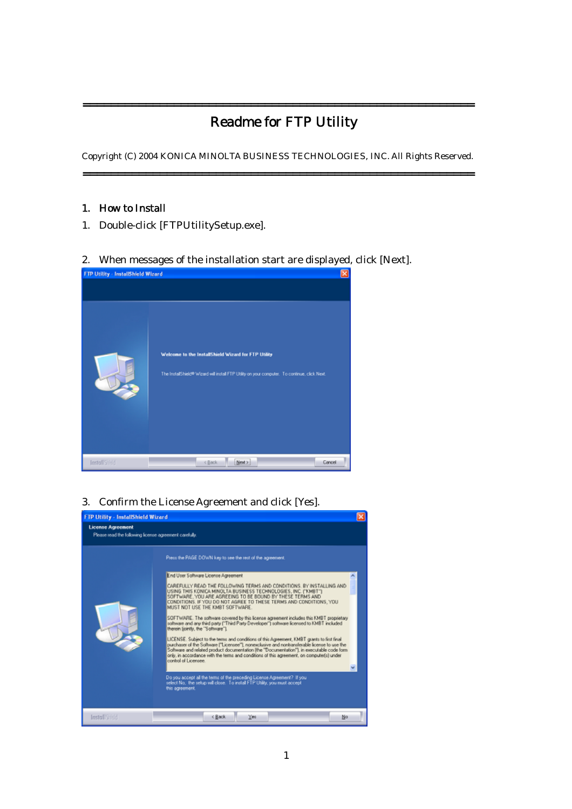## Readme for FTP Utility

========================================================

Copyright (C) 2004 KONICA MINOLTA BUSINESS TECHNOLOGIES, INC. All Rights Reserved. ========================================================

## 1. How to Install

1. Double-click [FTPUtilitySetup.exe].

2. When messages of the installation start are displayed, click [Next].



3. Confirm the License Agreement and click [Yes].

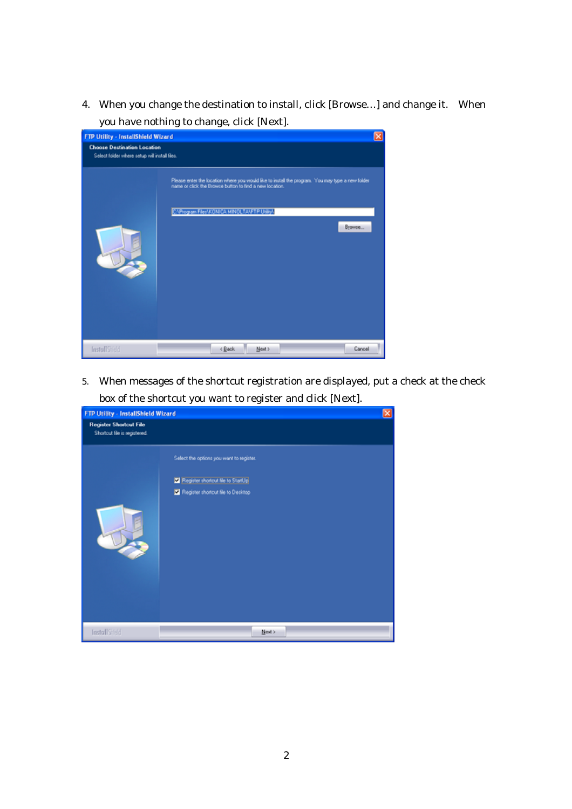4. When you change the destination to install, click [Browse…] and change it. When you have nothing to change, click [Next].

| ⊠<br>FTP Utility - InstallShield Wizard                                             |                                                                                                                                                             |  |  |  |
|-------------------------------------------------------------------------------------|-------------------------------------------------------------------------------------------------------------------------------------------------------------|--|--|--|
| <b>Choose Destination Location</b><br>Select folder where setup will install files. |                                                                                                                                                             |  |  |  |
|                                                                                     | Please enter the location where you would like to install the program. You may type a new folder<br>name or click the Browse button to find a new location. |  |  |  |
|                                                                                     | C:\Program Files\KONICA MINOLTA\FTP Utility\                                                                                                                |  |  |  |
|                                                                                     | Browse                                                                                                                                                      |  |  |  |
|                                                                                     |                                                                                                                                                             |  |  |  |
|                                                                                     |                                                                                                                                                             |  |  |  |
|                                                                                     |                                                                                                                                                             |  |  |  |
|                                                                                     |                                                                                                                                                             |  |  |  |
|                                                                                     |                                                                                                                                                             |  |  |  |
| InstallSheld                                                                        | < Back<br>Next ><br>Cancel                                                                                                                                  |  |  |  |

5. When messages of the shortcut registration are displayed, put a check at the check box of the shortcut you want to register and click [Next].

|                                                               | FTP Utility - InstallShield Wizard                                                                                 |  |
|---------------------------------------------------------------|--------------------------------------------------------------------------------------------------------------------|--|
| <b>Register Shortcut File</b><br>Shortcut file is registered. |                                                                                                                    |  |
|                                                               | Select the options you want to register.<br>Register shortcut file to StartUp<br>Register shortcut file to Desktop |  |
| <b>InstallStreid</b>                                          | Next >                                                                                                             |  |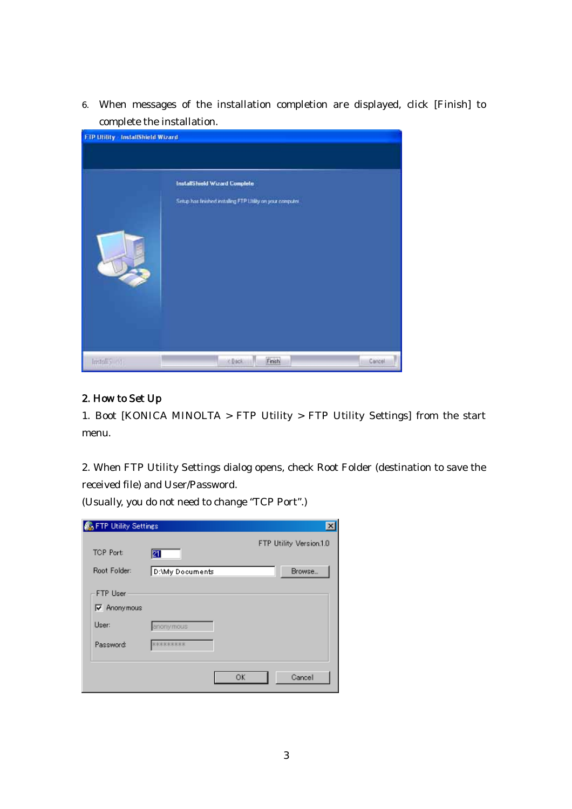6. When messages of the installation completion are displayed, click [Finish] to complete the installation.

| <b>FIP Utility - InstallShield Wizard</b> | InstallShield Wizard Complete<br>Setup has finished installing FTP Utility on your computer. |        |
|-------------------------------------------|----------------------------------------------------------------------------------------------|--------|
| InstallS etc.                             | Finish<br>c Back                                                                             | Cancel |

## 2. How to Set Up

1. Boot [KONICA MINOLTA > FTP Utility > FTP Utility Settings] from the start menu.

2. When FTP Utility Settings dialog opens, check Root Folder (destination to save the received file) and User/Password.

(Usually, you do not need to change "TCP Port".)

| <b>Co</b> FTP Utility Settings |                  | $\vert x \vert$         |
|--------------------------------|------------------|-------------------------|
| <b>TCP Port:</b>               | Ø1               | FTP Utility Version.1.0 |
| Root Folder:                   | D:\My Documents  | Browse                  |
| FTP User                       |                  |                         |
| $\nabla$ Anonymous             |                  |                         |
| User:                          | anonymous        |                         |
| Password:                      | <b>NORKERSSS</b> |                         |
|                                |                  |                         |
|                                |                  | <b>OK</b><br>Cancel     |